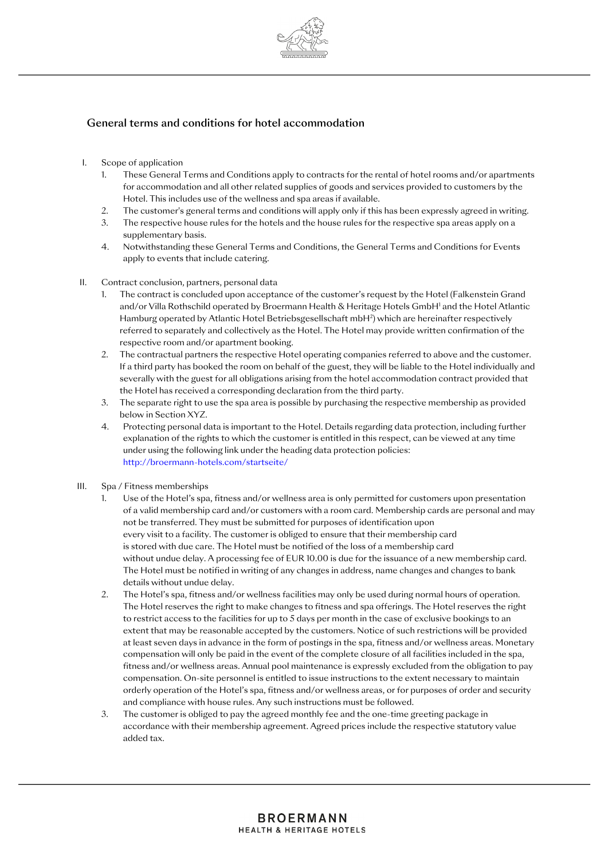

# General terms and conditions for hotel accommodation

- I. Scope of application
	- 1. These General Terms and Conditions apply to contracts for the rental of hotel rooms and/or apartments for accommodation and all other related supplies of goods and services provided to customers by the Hotel. This includes use of the wellness and spa areas if available.
	- 2. The customer's general terms and conditions will apply only if this has been expressly agreed in writing.
	- 3. The respective house rules for the hotels and the house rules for the respective spa areas apply on a supplementary basis.
	- 4. Notwithstanding these General Terms and Conditions, the General Terms and Conditions for Events apply to events that include catering.
- II. Contract conclusion, partners, personal data
	- 1. The contract is concluded upon acceptance of the customer's request by the Hotel (Falkenstein Grand and/or Villa Rothschild operated by Broermann Health & Heritage Hotels GmbH<sup>1</sup> and the Hotel Atlantic Hamburg operated by Atlantic Hotel Betriebsgesellschaft mbH²) which are hereinafter respectively referred to separately and collectively as the Hotel. The Hotel may provide written confirmation of the respective room and/or apartment booking.
	- 2. The contractual partners the respective Hotel operating companies referred to above and the customer. If a third party has booked the room on behalf of the guest, they will be liable to the Hotel individually and severally with the guest for all obligations arising from the hotel accommodation contract provided that the Hotel has received a corresponding declaration from the third party.
	- 3. The separate right to use the spa area is possible by purchasing the respective membership as provided below in Section XYZ.
	- 4. Protecting personal data is important to the Hotel. Details regarding data protection, including further explanation of the rights to which the customer is entitled in this respect, can be viewed at any time under using the following link under the heading data protection policies: <http://broermann-hotels.com/startseite/>
- III. Spa / Fitness memberships
	- 1. Use of the Hotel's spa, fitness and/or wellness area is only permitted for customers upon presentation of a valid membership card and/or customers with a room card. Membership cards are personal and may not be transferred. They must be submitted for purposes of identification upon every visit to a facility. The customer is obliged to ensure that their membership card is stored with due care. The Hotel must be notified of the loss of a membership card without undue delay. A processing fee of EUR 10.00 is due for the issuance of a new membership card. The Hotel must be notified in writing of any changes in address, name changes and changes to bank details without undue delay.
	- 2. The Hotel's spa, fitness and/or wellness facilities may only be used during normal hours of operation. The Hotel reserves the right to make changes to fitness and spa offerings. The Hotel reserves the right to restrict access to the facilities for up to 5 days per month in the case of exclusive bookings to an extent that may be reasonable accepted by the customers. Notice of such restrictions will be provided at least seven days in advance in the form of postings in the spa, fitness and/or wellness areas. Monetary compensation will only be paid in the event of the complete closure of all facilities included in the spa, fitness and/or wellness areas. Annual pool maintenance is expressly excluded from the obligation to pay compensation. On-site personnel is entitled to issue instructions to the extent necessary to maintain orderly operation of the Hotel's spa, fitness and/or wellness areas, or for purposes of order and security and compliance with house rules. Any such instructions must be followed.
	- 3. The customer is obliged to pay the agreed monthly fee and the one-time greeting package in accordance with their membership agreement. Agreed prices include the respective statutory value added tax.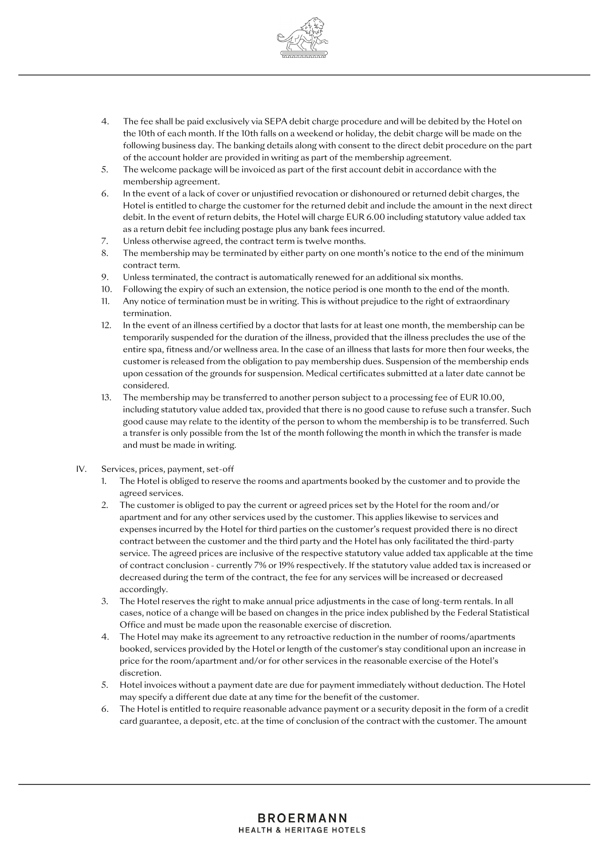

- 4. The fee shall be paid exclusively via SEPA debit charge procedure and will be debited by the Hotel on the 10th of each month. If the 10th falls on a weekend or holiday, the debit charge will be made on the following business day. The banking details along with consent to the direct debit procedure on the part of the account holder are provided in writing as part of the membership agreement.
- 5. The welcome package will be invoiced as part of the first account debit in accordance with the membership agreement.
- 6. In the event of a lack of cover or unjustified revocation or dishonoured or returned debit charges, the Hotel is entitled to charge the customer for the returned debit and include the amount in the next direct debit. In the event of return debits, the Hotel will charge EUR 6.00 including statutory value added tax as a return debit fee including postage plus any bank fees incurred.
- 7. Unless otherwise agreed, the contract term is twelve months.
- 8. The membership may be terminated by either party on one month's notice to the end of the minimum contract term.
- 9. Unless terminated, the contract is automatically renewed for an additional six months.
- 10. Following the expiry of such an extension, the notice period is one month to the end of the month.
- 11. Any notice of termination must be in writing. This is without prejudice to the right of extraordinary termination.
- 12. In the event of an illness certified by a doctor that lasts for at least one month, the membership can be temporarily suspended for the duration of the illness, provided that the illness precludes the use of the entire spa, fitness and/or wellness area. In the case of an illness that lasts for more then four weeks, the customer is released from the obligation to pay membership dues. Suspension of the membership ends upon cessation of the grounds for suspension. Medical certificates submitted at a later date cannot be considered.
- 13. The membership may be transferred to another person subject to a processing fee of EUR 10.00, including statutory value added tax, provided that there is no good cause to refuse such a transfer. Such good cause may relate to the identity of the person to whom the membership is to be transferred. Such a transfer is only possible from the 1st of the month following the month in which the transfer is made and must be made in writing.
- IV. Services, prices, payment, set-off
	- 1. The Hotel is obliged to reserve the rooms and apartments booked by the customer and to provide the agreed services.
	- 2. The customer is obliged to pay the current or agreed prices set by the Hotel for the room and/or apartment and for any other services used by the customer. This applies likewise to services and expenses incurred by the Hotel for third parties on the customer's request provided there is no direct contract between the customer and the third party and the Hotel has only facilitated the third-party service. The agreed prices are inclusive of the respective statutory value added tax applicable at the time of contract conclusion - currently 7% or 19% respectively. If the statutory value added tax is increased or decreased during the term of the contract, the fee for any services will be increased or decreased accordingly.
	- 3. The Hotel reserves the right to make annual price adjustments in the case of long-term rentals. In all cases, notice of a change will be based on changes in the price index published by the Federal Statistical Office and must be made upon the reasonable exercise of discretion.
	- 4. The Hotel may make its agreement to any retroactive reduction in the number of rooms/apartments booked, services provided by the Hotel or length of the customer's stay conditional upon an increase in price for the room/apartment and/or for other services in the reasonable exercise of the Hotel's discretion.
	- 5. Hotel invoices without a payment date are due for payment immediately without deduction. The Hotel may specify a different due date at any time for the benefit of the customer.
	- 6. The Hotel is entitled to require reasonable advance payment or a security deposit in the form of a credit card guarantee, a deposit, etc. at the time of conclusion of the contract with the customer. The amount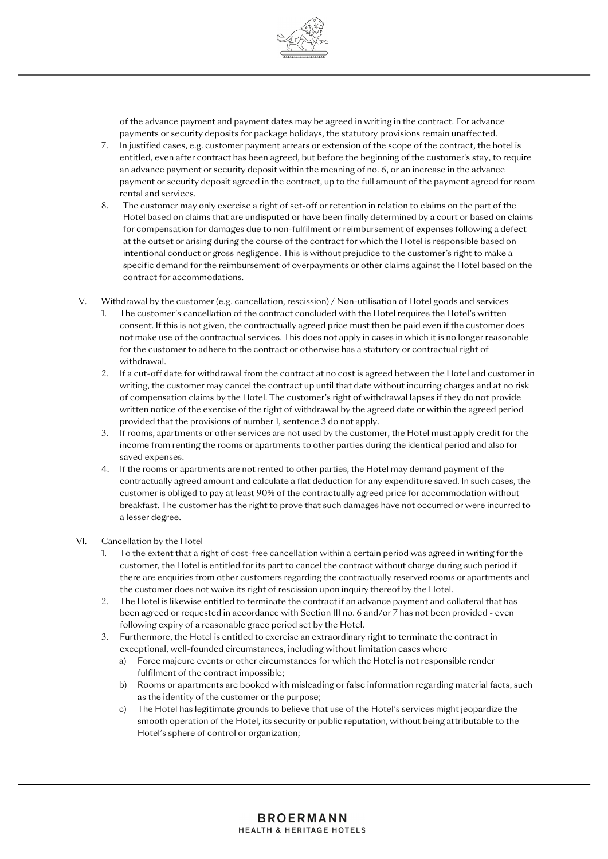

of the advance payment and payment dates may be agreed in writing in the contract. For advance payments or security deposits for package holidays, the statutory provisions remain unaffected.

- 7. In justified cases, e.g. customer payment arrears or extension of the scope of the contract, the hotel is entitled, even after contract has been agreed, but before the beginning of the customer's stay, to require an advance payment or security deposit within the meaning of no. 6, or an increase in the advance payment or security deposit agreed in the contract, up to the full amount of the payment agreed for room rental and services.
- 8. The customer may only exercise a right of set-off or retention in relation to claims on the part of the Hotel based on claims that are undisputed or have been finally determined by a court or based on claims for compensation for damages due to non-fulfilment or reimbursement of expenses following a defect at the outset or arising during the course of the contract for which the Hotel is responsible based on intentional conduct or gross negligence. This is without prejudice to the customer's right to make a specific demand for the reimbursement of overpayments or other claims against the Hotel based on the contract for accommodations.
- V. Withdrawal by the customer (e.g. cancellation, rescission) / Non-utilisation of Hotel goods and services
	- 1. The customer's cancellation of the contract concluded with the Hotel requires the Hotel's written consent. If this is not given, the contractually agreed price must then be paid even if the customer does not make use of the contractual services. This does not apply in cases in which it is no longer reasonable for the customer to adhere to the contract or otherwise has a statutory or contractual right of withdrawal.
	- 2. If a cut-off date for withdrawal from the contract at no cost is agreed between the Hotel and customer in writing, the customer may cancel the contract up until that date without incurring charges and at no risk of compensation claims by the Hotel. The customer's right of withdrawal lapses if they do not provide written notice of the exercise of the right of withdrawal by the agreed date or within the agreed period provided that the provisions of number 1, sentence 3 do not apply.
	- 3. If rooms, apartments or other services are not used by the customer, the Hotel must apply credit for the income from renting the rooms or apartments to other parties during the identical period and also for saved expenses.
	- 4. If the rooms or apartments are not rented to other parties, the Hotel may demand payment of the contractually agreed amount and calculate a flat deduction for any expenditure saved. In such cases, the customer is obliged to pay at least 90% of the contractually agreed price for accommodation without breakfast. The customer has the right to prove that such damages have not occurred or were incurred to a lesser degree.

#### VI. Cancellation by the Hotel

- 1. To the extent that a right of cost-free cancellation within a certain period was agreed in writing for the customer, the Hotel is entitled for its part to cancel the contract without charge during such period if there are enquiries from other customers regarding the contractually reserved rooms or apartments and the customer does not waive its right of rescission upon inquiry thereof by the Hotel.
- 2. The Hotel is likewise entitled to terminate the contract if an advance payment and collateral that has been agreed or requested in accordance with Section III no. 6 and/or 7 has not been provided - even following expiry of a reasonable grace period set by the Hotel.
- 3. Furthermore, the Hotel is entitled to exercise an extraordinary right to terminate the contract in exceptional, well-founded circumstances, including without limitation cases where
	- a) Force majeure events or other circumstances for which the Hotel is not responsible render fulfilment of the contract impossible;
	- b) Rooms or apartments are booked with misleading or false information regarding material facts, such as the identity of the customer or the purpose;
	- c) The Hotel has legitimate grounds to believe that use of the Hotel's services might jeopardize the smooth operation of the Hotel, its security or public reputation, without being attributable to the Hotel's sphere of control or organization;

### **BROERMANN HEALTH & HERITAGE HOTELS**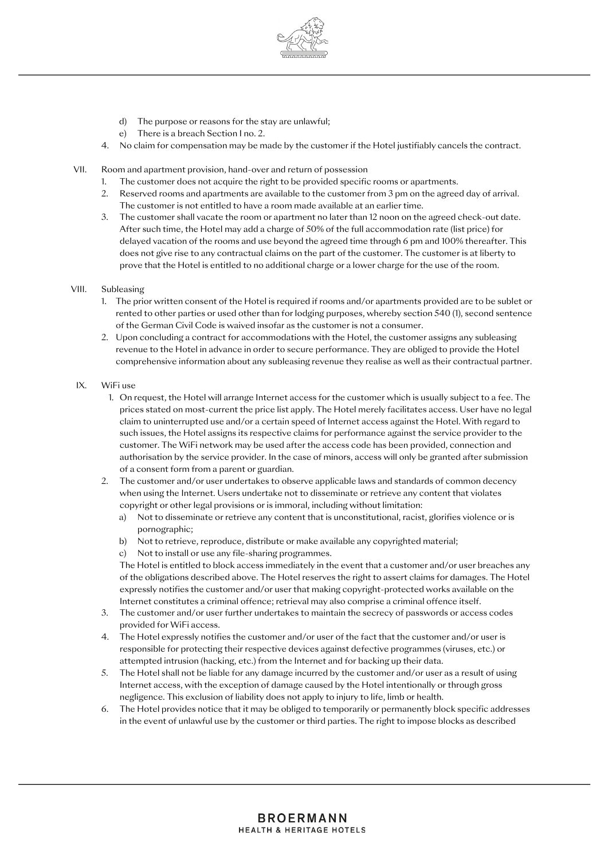

- d) The purpose or reasons for the stay are unlawful;
- e) There is a breach Section I no. 2.
- 4. No claim for compensation may be made by the customer if the Hotel justifiably cancels the contract.
- VII. Room and apartment provision, hand-over and return of possession
	- 1. The customer does not acquire the right to be provided specific rooms or apartments.
	- 2. Reserved rooms and apartments are available to the customer from 3 pm on the agreed day of arrival. The customer is not entitled to have a room made available at an earlier time.
	- 3. The customer shall vacate the room or apartment no later than 12 noon on the agreed check-out date. After such time, the Hotel may add a charge of 50% of the full accommodation rate (list price) for delayed vacation of the rooms and use beyond the agreed time through 6 pm and 100% thereafter. This does not give rise to any contractual claims on the part of the customer. The customer is at liberty to prove that the Hotel is entitled to no additional charge or a lower charge for the use of the room.

#### VIII. Subleasing

- 1. The prior written consent of the Hotel is required if rooms and/or apartments provided are to be sublet or rented to other parties or used other than for lodging purposes, whereby section 540 (1), second sentence of the German Civil Code is waived insofar as the customer is not a consumer.
- 2. Upon concluding a contract for accommodations with the Hotel, the customer assigns any subleasing revenue to the Hotel in advance in order to secure performance. They are obliged to provide the Hotel comprehensive information about any subleasing revenue they realise as well as their contractual partner.

#### IX. WiFi use

- 1. On request, the Hotel will arrange Internet access for the customer which is usually subject to a fee. The prices stated on most-current the price list apply. The Hotel merely facilitates access. User have no legal claim to uninterrupted use and/or a certain speed of Internet access against the Hotel. With regard to such issues, the Hotel assigns its respective claims for performance against the service provider to the customer. The WiFi network may be used after the access code has been provided, connection and authorisation by the service provider. In the case of minors, access will only be granted after submission of a consent form from a parent or guardian.
- 2. The customer and/or user undertakes to observe applicable laws and standards of common decency when using the Internet. Users undertake not to disseminate or retrieve any content that violates copyright or other legal provisions or is immoral, including without limitation:
	- a) Not to disseminate or retrieve any content that is unconstitutional, racist, glorifies violence or is pornographic;
	- b) Not to retrieve, reproduce, distribute or make available any copyrighted material;
	- c) Not to install or use any file-sharing programmes.

The Hotel is entitled to block access immediately in the event that a customer and/or user breaches any of the obligations described above. The Hotel reserves the right to assert claims for damages. The Hotel expressly notifies the customer and/or user that making copyright-protected works available on the Internet constitutes a criminal offence; retrieval may also comprise a criminal offence itself.

- 3. The customer and/or user further undertakes to maintain the secrecy of passwords or access codes provided for WiFi access.
- 4. The Hotel expressly notifies the customer and/or user of the fact that the customer and/or user is responsible for protecting their respective devices against defective programmes (viruses, etc.) or attempted intrusion (hacking, etc.) from the Internet and for backing up their data.
- 5. The Hotel shall not be liable for any damage incurred by the customer and/or user as a result of using Internet access, with the exception of damage caused by the Hotel intentionally or through gross negligence. This exclusion of liability does not apply to injury to life, limb or health.
- 6. The Hotel provides notice that it may be obliged to temporarily or permanently block specific addresses in the event of unlawful use by the customer or third parties. The right to impose blocks as described

## **BROERMANN HEALTH & HERITAGE HOTELS**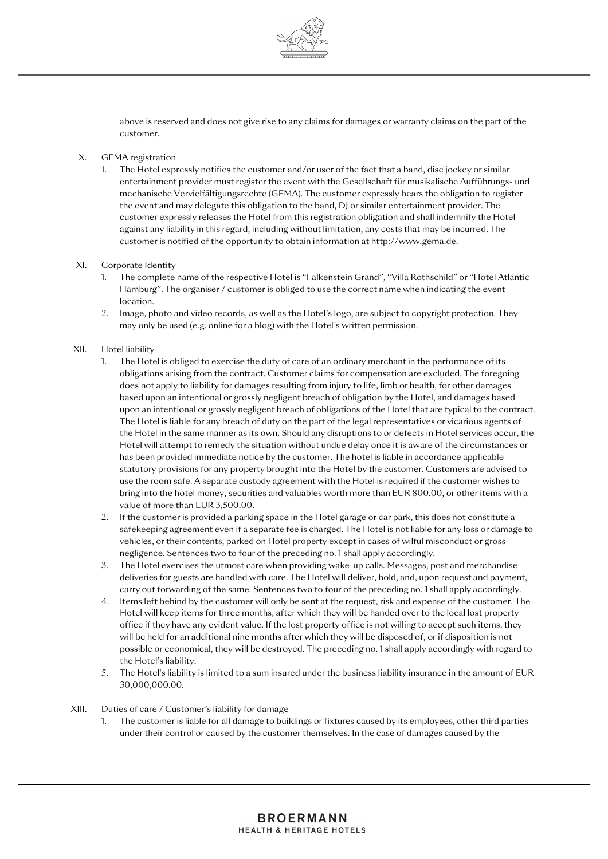

above is reserved and does not give rise to any claims for damages or warranty claims on the part of the customer.

#### X. GEMA registration

1. The Hotel expressly notifies the customer and/or user of the fact that a band, disc jockey or similar entertainment provider must register the event with the Gesellschaft für musikalische Aufführungs- und mechanische Vervielfältigungsrechte (GEMA). The customer expressly bears the obligation to register the event and may delegate this obligation to the band, DJ or similar entertainment provider. The customer expressly releases the Hotel from this registration obligation and shall indemnify the Hotel against any liability in this regard, including without limitation, any costs that may be incurred. The customer is notified of the opportunity to obtain information a[t http://www.gema.de.](http://www.gema.de/)

#### XI. Corporate Identity

- 1. The complete name of the respective Hotel is "Falkenstein Grand", "Villa Rothschild" or "Hotel Atlantic Hamburg". The organiser / customer is obliged to use the correct name when indicating the event location.
- 2. Image, photo and video records, as well as the Hotel's logo, are subject to copyright protection. They may only be used (e.g. online for a blog) with the Hotel's written permission.

#### XII. Hotel liability

- 1. The Hotel is obliged to exercise the duty of care of an ordinary merchant in the performance of its obligations arising from the contract. Customer claims for compensation are excluded. The foregoing does not apply to liability for damages resulting from injury to life, limb or health, for other damages based upon an intentional or grossly negligent breach of obligation by the Hotel, and damages based upon an intentional or grossly negligent breach of obligations of the Hotel that are typical to the contract. The Hotel is liable for any breach of duty on the part of the legal representatives or vicarious agents of the Hotel in the same manner as its own. Should any disruptions to or defects in Hotel services occur, the Hotel will attempt to remedy the situation without undue delay once it is aware of the circumstances or has been provided immediate notice by the customer. The hotel is liable in accordance applicable statutory provisions for any property brought into the Hotel by the customer. Customers are advised to use the room safe. A separate custody agreement with the Hotel is required if the customer wishes to bring into the hotel money, securities and valuables worth more than EUR 800.00, or other items with a value of more than EUR 3,500.00.
- 2. If the customer is provided a parking space in the Hotel garage or car park, this does not constitute a safekeeping agreement even if a separate fee is charged. The Hotel is not liable for any loss or damage to vehicles, or their contents, parked on Hotel property except in cases of wilful misconduct or gross negligence. Sentences two to four of the preceding no. 1 shall apply accordingly.
- 3. The Hotel exercises the utmost care when providing wake-up calls. Messages, post and merchandise deliveries for guests are handled with care. The Hotel will deliver, hold, and, upon request and payment, carry out forwarding of the same. Sentences two to four of the preceding no. 1 shall apply accordingly.
- 4. Items left behind by the customer will only be sent at the request, risk and expense of the customer. The Hotel will keep items for three months, after which they will be handed over to the local lost property office if they have any evident value. If the lost property office is not willing to accept such items, they will be held for an additional nine months after which they will be disposed of, or if disposition is not possible or economical, they will be destroyed. The preceding no. 1 shall apply accordingly with regard to the Hotel's liability.
- 5. The Hotel's liability is limited to a sum insured under the business liability insurance in the amount of EUR 30,000,000.00.

#### XIII. Duties of care / Customer's liability for damage

1. The customer is liable for all damage to buildings or fixtures caused by its employees, other third parties under their control or caused by the customer themselves. In the case of damages caused by the

## **BROERMANN HEALTH & HERITAGE HOTELS**